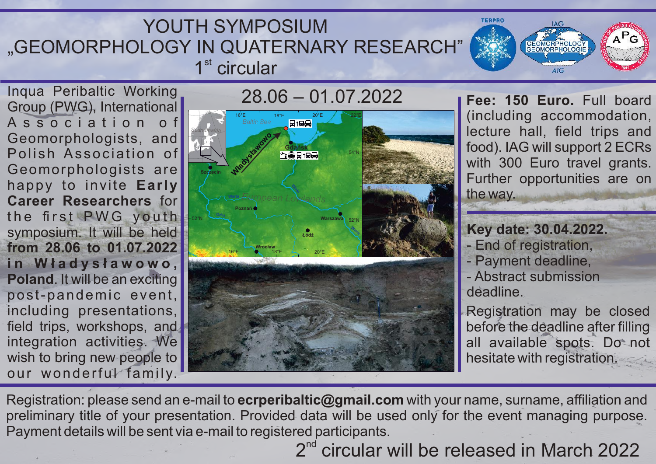## YOUTH SYMPOSIUM "GEOMORPHOLOGY IN QUATERNARY RESEARCH"  $1<sup>st</sup>$  circular

Inqua Peribaltic Working Group (PWG), International A s s o c i a t i o n o f Geomorphologists, and Polish Association of Geomorphologists are happy to invite **Early Career Researchers** for the first PWG youth symposium. It will be held **from 28.06 to 01.07.2022 i n W ł a d y s ł a w o w o , Poland**. It will be an exciting post-pandemic event, including presentations, field trips, workshops, and integration activities. We wish to bring new people to our wonderful family.



**Fee: 150 Euro.** Full board (including accommodation, lecture hall, field trips and food). IAG will support 2 ECRs with 300 Euro travel grants. Further opportunities are on the way.

GEOMORPHOLOGY

 $\Lambda$ IC

### **Key date: 30.04.2022.**

- End of registration,

**TERPRO** 

- Payment deadline,
- Abstract submission deadline.

Registration may be closed before the deadline after filling all available spots. Do not hesitate with registration.

Registration: please send an e-mail to **ecrperibaltic@gmail.com** with your name, surname, affiliation and preliminary title of your presentation. Provided data will be used only for the event managing purpose. Payment details will be sent via e-mail to registered participants.

 $2<sup>nd</sup>$  circular will be released in March 2022